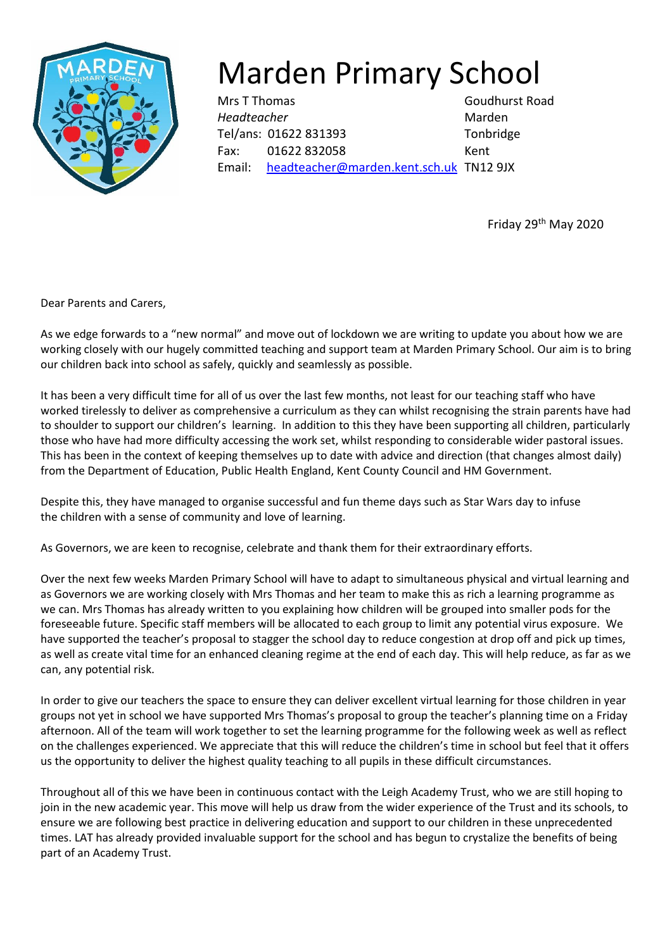

## Marden Primary School

Mrs T Thomas Goudhurst Road *Headteacher* Marden Tel/ans: 01622 831393 Tonbridge Fax: 01622 832058 Kent Email: [headteacher@marden.kent.sch.uk](mailto:headteacher@marden.kent.sch.uk) TN12 9JX

Friday 29th May 2020

Dear Parents and Carers,

As we edge forwards to a "new normal" and move out of lockdown we are writing to update you about how we are working closely with our hugely committed teaching and support team at Marden Primary School. Our aim is to bring our children back into school as safely, quickly and seamlessly as possible.

It has been a very difficult time for all of us over the last few months, not least for our teaching staff who have worked tirelessly to deliver as comprehensive a curriculum as they can whilst recognising the strain parents have had to shoulder to support our children's learning. In addition to this they have been supporting all children, particularly those who have had more difficulty accessing the work set, whilst responding to considerable wider pastoral issues. This has been in the context of keeping themselves up to date with advice and direction (that changes almost daily) from the Department of Education, Public Health England, Kent County Council and HM Government.

Despite this, they have managed to organise successful and fun theme days such as Star Wars day to infuse the children with a sense of community and love of learning.

As Governors, we are keen to recognise, celebrate and thank them for their extraordinary efforts.

Over the next few weeks Marden Primary School will have to adapt to simultaneous physical and virtual learning and as Governors we are working closely with Mrs Thomas and her team to make this as rich a learning programme as we can. Mrs Thomas has already written to you explaining how children will be grouped into smaller pods for the foreseeable future. Specific staff members will be allocated to each group to limit any potential virus exposure. We have supported the teacher's proposal to stagger the school day to reduce congestion at drop off and pick up times, as well as create vital time for an enhanced cleaning regime at the end of each day. This will help reduce, as far as we can, any potential risk.

In order to give our teachers the space to ensure they can deliver excellent virtual learning for those children in year groups not yet in school we have supported Mrs Thomas's proposal to group the teacher's planning time on a Friday afternoon. All of the team will work together to set the learning programme for the following week as well as reflect on the challenges experienced. We appreciate that this will reduce the children's time in school but feel that it offers us the opportunity to deliver the highest quality teaching to all pupils in these difficult circumstances.

Throughout all of this we have been in continuous contact with the Leigh Academy Trust, who we are still hoping to join in the new academic year. This move will help us draw from the wider experience of the Trust and its schools, to ensure we are following best practice in delivering education and support to our children in these unprecedented times. LAT has already provided invaluable support for the school and has begun to crystalize the benefits of being part of an Academy Trust.